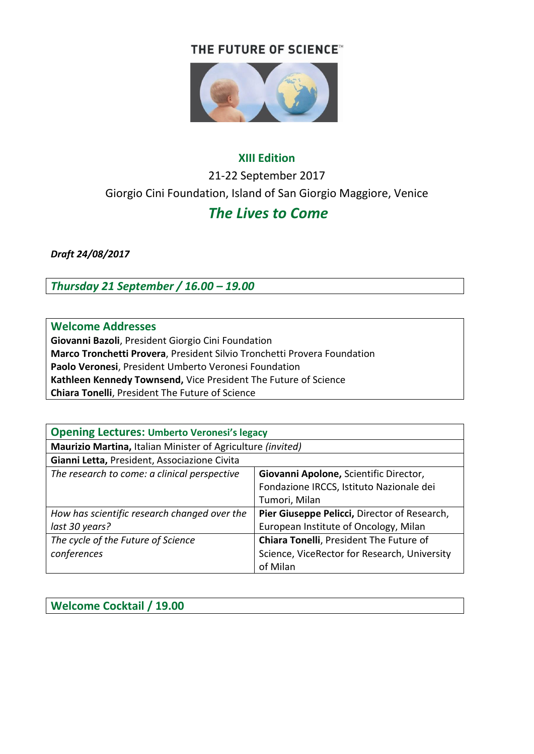#### THE FUTURE OF SCIENCE<sup>™</sup>



# **XIII Edition** 21-22 September 2017 Giorgio Cini Foundation, Island of San Giorgio Maggiore, Venice

## *The Lives to Come*

*Draft 24/08/2017*

*Thursday 21 September / 16.00 – 19.00* 

#### **Welcome Addresses**

**Giovanni Bazoli**, President Giorgio Cini Foundation **Marco Tronchetti Provera**, President Silvio Tronchetti Provera Foundation **Paolo Veronesi**, President Umberto Veronesi Foundation **Kathleen Kennedy Townsend,** Vice President The Future of Science **Chiara Tonelli**, President The Future of Science

| <b>Opening Lectures: Umberto Veronesi's legacy</b>          |                                              |  |
|-------------------------------------------------------------|----------------------------------------------|--|
| Maurizio Martina, Italian Minister of Agriculture (invited) |                                              |  |
| Gianni Letta, President, Associazione Civita                |                                              |  |
| The research to come: a clinical perspective                | Giovanni Apolone, Scientific Director,       |  |
|                                                             | Fondazione IRCCS, Istituto Nazionale dei     |  |
|                                                             | Tumori, Milan                                |  |
| How has scientific research changed over the                | Pier Giuseppe Pelicci, Director of Research, |  |
| last 30 years?                                              | European Institute of Oncology, Milan        |  |
| The cycle of the Future of Science                          | Chiara Tonelli, President The Future of      |  |
| conferences                                                 | Science, ViceRector for Research, University |  |
|                                                             | of Milan                                     |  |

**Welcome Cocktail / 19.00**